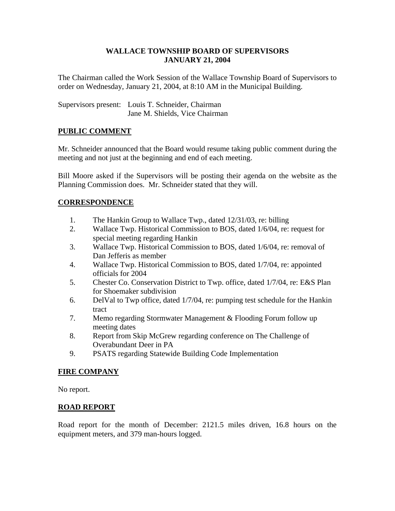#### **WALLACE TOWNSHIP BOARD OF SUPERVISORS JANUARY 21, 2004**

The Chairman called the Work Session of the Wallace Township Board of Supervisors to order on Wednesday, January 21, 2004, at 8:10 AM in the Municipal Building.

Supervisors present: Louis T. Schneider, Chairman Jane M. Shields, Vice Chairman

# **PUBLIC COMMENT**

Mr. Schneider announced that the Board would resume taking public comment during the meeting and not just at the beginning and end of each meeting.

Bill Moore asked if the Supervisors will be posting their agenda on the website as the Planning Commission does. Mr. Schneider stated that they will.

# **CORRESPONDENCE**

- 1. The Hankin Group to Wallace Twp., dated 12/31/03, re: billing
- 2. Wallace Twp. Historical Commission to BOS, dated 1/6/04, re: request for special meeting regarding Hankin
- 3. Wallace Twp. Historical Commission to BOS, dated 1/6/04, re: removal of Dan Jefferis as member
- 4. Wallace Twp. Historical Commission to BOS, dated 1/7/04, re: appointed officials for 2004
- 5. Chester Co. Conservation District to Twp. office, dated 1/7/04, re: E&S Plan for Shoemaker subdivision
- 6. DelVal to Twp office, dated 1/7/04, re: pumping test schedule for the Hankin tract
- 7. Memo regarding Stormwater Management & Flooding Forum follow up meeting dates
- 8. Report from Skip McGrew regarding conference on The Challenge of Overabundant Deer in PA
- 9. PSATS regarding Statewide Building Code Implementation

# **FIRE COMPANY**

No report.

# **ROAD REPORT**

Road report for the month of December: 2121.5 miles driven, 16.8 hours on the equipment meters, and 379 man-hours logged.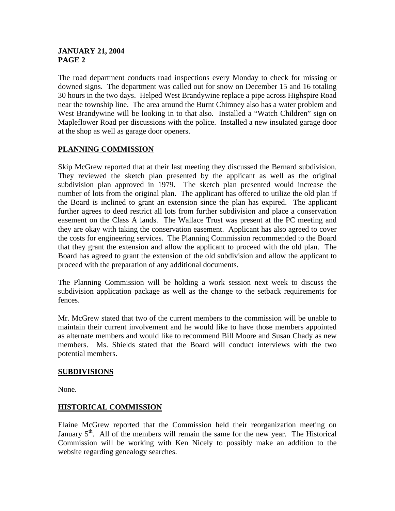# **JANUARY 21, 2004 PAGE 2**

The road department conducts road inspections every Monday to check for missing or downed signs. The department was called out for snow on December 15 and 16 totaling 30 hours in the two days. Helped West Brandywine replace a pipe across Highspire Road near the township line. The area around the Burnt Chimney also has a water problem and West Brandywine will be looking in to that also. Installed a "Watch Children" sign on Mapleflower Road per discussions with the police. Installed a new insulated garage door at the shop as well as garage door openers.

# **PLANNING COMMISSION**

Skip McGrew reported that at their last meeting they discussed the Bernard subdivision. They reviewed the sketch plan presented by the applicant as well as the original subdivision plan approved in 1979. The sketch plan presented would increase the number of lots from the original plan. The applicant has offered to utilize the old plan if the Board is inclined to grant an extension since the plan has expired. The applicant further agrees to deed restrict all lots from further subdivision and place a conservation easement on the Class A lands. The Wallace Trust was present at the PC meeting and they are okay with taking the conservation easement. Applicant has also agreed to cover the costs for engineering services. The Planning Commission recommended to the Board that they grant the extension and allow the applicant to proceed with the old plan. The Board has agreed to grant the extension of the old subdivision and allow the applicant to proceed with the preparation of any additional documents.

The Planning Commission will be holding a work session next week to discuss the subdivision application package as well as the change to the setback requirements for fences.

Mr. McGrew stated that two of the current members to the commission will be unable to maintain their current involvement and he would like to have those members appointed as alternate members and would like to recommend Bill Moore and Susan Chady as new members. Ms. Shields stated that the Board will conduct interviews with the two potential members.

# **SUBDIVISIONS**

None.

# **HISTORICAL COMMISSION**

Elaine McGrew reported that the Commission held their reorganization meeting on January  $5<sup>th</sup>$ . All of the members will remain the same for the new year. The Historical Commission will be working with Ken Nicely to possibly make an addition to the website regarding genealogy searches.